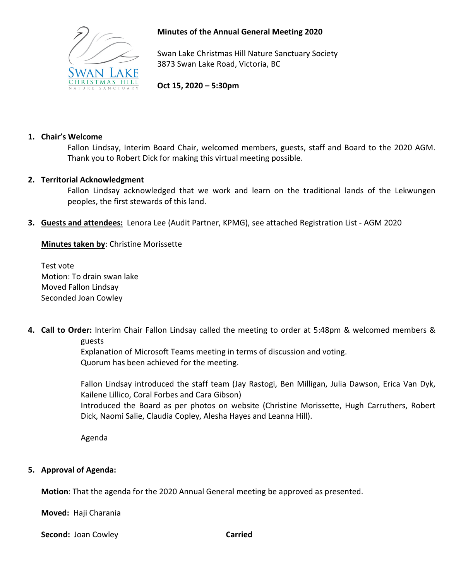

# **Minutes of the Annual General Meeting 2020**

Swan Lake Christmas Hill Nature Sanctuary Society 3873 Swan Lake Road, Victoria, BC

**Oct 15, 2020 – 5:30pm**

## **1. Chair's Welcome**

Fallon Lindsay, Interim Board Chair, welcomed members, guests, staff and Board to the 2020 AGM. Thank you to Robert Dick for making this virtual meeting possible.

## **2. Territorial Acknowledgment**

Fallon Lindsay acknowledged that we work and learn on the traditional lands of the Lekwungen peoples, the first stewards of this land.

**3. Guests and attendees:** Lenora Lee (Audit Partner, KPMG), see attached Registration List - AGM 2020

**Minutes taken by**: Christine Morissette

Test vote Motion: To drain swan lake Moved Fallon Lindsay Seconded Joan Cowley

**4. Call to Order:** Interim Chair Fallon Lindsay called the meeting to order at 5:48pm & welcomed members & guests

> Explanation of Microsoft Teams meeting in terms of discussion and voting. Quorum has been achieved for the meeting.

Fallon Lindsay introduced the staff team (Jay Rastogi, Ben Milligan, Julia Dawson, Erica Van Dyk, Kailene Lillico, Coral Forbes and Cara Gibson)

Introduced the Board as per photos on website (Christine Morissette, Hugh Carruthers, Robert Dick, Naomi Salie, Claudia Copley, Alesha Hayes and Leanna Hill).

Agenda

# **5. Approval of Agenda:**

**Motion**: That the agenda for the 2020 Annual General meeting be approved as presented.

**Moved:** Haji Charania

**Second:** Joan Cowley **Carried**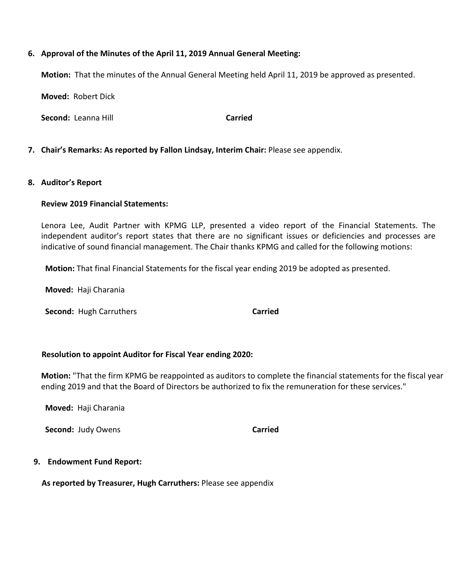### **6. Approval of the Minutes of the April 11, 2019 Annual General Meeting:**

**Motion:** That the minutes of the Annual General Meeting held April 11, 2019 be approved as presented.

**Moved:** Robert Dick

**Second:** Leanna Hill **Carried** 

### **7. Chair's Remarks: As reported by Fallon Lindsay, Interim Chair:** Please see appendix.

### **8. Auditor's Report**

### **Review 2019 Financial Statements:**

Lenora Lee, Audit Partner with KPMG LLP, presented a video report of the Financial Statements. The independent auditor's report states that there are no significant issues or deficiencies and processes are indicative of sound financial management. The Chair thanks KPMG and called for the following motions:

 **Motion:** That final Financial Statements for the fiscal year ending 2019 be adopted as presented.

 **Moved:** Haji Charania

**Second:** Hugh Carruthers **Carried** 

### **Resolution to appoint Auditor for Fiscal Year ending 2020:**

**Motion:** "That the firm KPMG be reappointed as auditors to complete the financial statements for the fiscal year ending 2019 and that the Board of Directors be authorized to fix the remuneration for these services."

 **Moved:** Haji Charania

**Second:** Judy Owens **Carried** 

### **9. Endowment Fund Report:**

**As reported by Treasurer, Hugh Carruthers:** Please see appendix